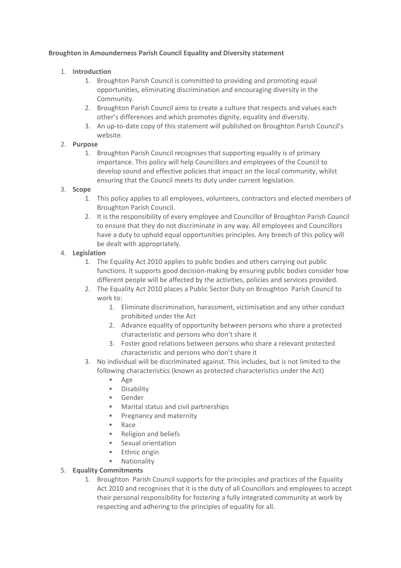#### **Broughton in Amounderness Parish Council Equality and Diversity statement**

# 1. **Introduction**

- 1. Broughton Parish Council is committed to providing and promoting equal opportunities, eliminating discrimination and encouraging diversity in the Community.
- 2. Broughton Parish Council aims to create a culture that respects and values each other's differences and which promotes dignity, equality and diversity.
- 3. An up-to-date copy of this statement will published on Broughton Parish Council's website.

## 2. **Purpose**

1. Broughton Parish Council recognises that supporting equality is of primary importance. This policy will help Councillors and employees of the Council to develop sound and effective policies that impact on the local community, whilst ensuring that the Council meets its duty under current legislation.

## 3. **Scope**

- 1. This policy applies to all employees, volunteers, contractors and elected members of Broughton Parish Council.
- 2. It is the responsibility of every employee and Councillor of Broughton Parish Council to ensure that they do not discriminate in any way. All employees and Councillors have a duty to uphold equal opportunities principles. Any breech of this policy will be dealt with appropriately.

## 4. **Legislation**

- 1. The Equality Act 2010 applies to public bodies and others carrying out public functions. It supports good decision-making by ensuring public bodies consider how different people will be affected by the activities, policies and services provided.
- 2. The Equality Act 2010 places a Public Sector Duty on Broughton Parish Council to work to:
	- 1. Eliminate discrimination, harassment, victimisation and any other conduct prohibited under the Act
	- 2. Advance equality of opportunity between persons who share a protected characteristic and persons who don't share it
	- 3. Foster good relations between persons who share a relevant protected characteristic and persons who don't share it
- 3. No individual will be discriminated against. This includes, but is not limited to the following characteristics (known as protected characteristics under the Act)
	- Age
	- **Disability**
	- **Gender**
	- **Marital status and civil partnerships**
	- **Pregnancy and maternity**
	- Race
	- **Religion and beliefs**
	- Sexual orientation
	- **Ethnic origin**
	- **Nationality**

#### 5. **Equality Commitments**

1. Broughton Parish Council supports for the principles and practices of the Equality Act 2010 and recognises that it is the duty of all Councillors and employees to accept their personal responsibility for fostering a fully integrated community at work by respecting and adhering to the principles of equality for all.